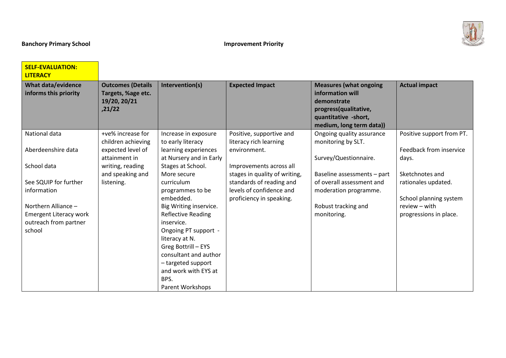

 $\overline{\phantom{0}}$ 

| <b>SELF-EVALUATION:</b>       |                          |                           |                               |                               |                           |
|-------------------------------|--------------------------|---------------------------|-------------------------------|-------------------------------|---------------------------|
| <b>LITERACY</b>               |                          |                           |                               |                               |                           |
| <b>What data/evidence</b>     | <b>Outcomes (Details</b> | Intervention(s)           | <b>Expected Impact</b>        | <b>Measures (what ongoing</b> | <b>Actual impact</b>      |
| informs this priority         | Targets, %age etc.       |                           |                               | information will              |                           |
|                               | 19/20, 20/21             |                           |                               | demonstrate                   |                           |
|                               | ,21/22                   |                           |                               | progress(qualitative,         |                           |
|                               |                          |                           |                               | quantitative -short,          |                           |
|                               |                          |                           |                               | medium, long term data))      |                           |
| National data                 | +ve% increase for        | Increase in exposure      | Positive, supportive and      | Ongoing quality assurance     | Positive support from PT. |
|                               | children achieving       | to early literacy         | literacy rich learning        | monitoring by SLT.            |                           |
| Aberdeenshire data            | expected level of        | learning experiences      | environment.                  |                               | Feedback from inservice   |
|                               | attainment in            | at Nursery and in Early   |                               | Survey/Questionnaire.         | days.                     |
| School data                   | writing, reading         | Stages at School.         | Improvements across all       |                               |                           |
|                               | and speaking and         | More secure               | stages in quality of writing, | Baseline assessments - part   | Sketchnotes and           |
| See SQUIP for further         | listening.               | curriculum                | standards of reading and      | of overall assessment and     | rationales updated.       |
| information                   |                          | programmes to be          | levels of confidence and      | moderation programme.         |                           |
|                               |                          | embedded.                 | proficiency in speaking.      |                               | School planning system    |
| Northern Alliance -           |                          | Big Writing inservice.    |                               | Robust tracking and           | review - with             |
| <b>Emergent Literacy work</b> |                          | <b>Reflective Reading</b> |                               | monitoring.                   | progressions in place.    |
| outreach from partner         |                          | inservice.                |                               |                               |                           |
| school                        |                          | Ongoing PT support -      |                               |                               |                           |
|                               |                          | literacy at N.            |                               |                               |                           |
|                               |                          | Greg Bottrill - EYS       |                               |                               |                           |
|                               |                          | consultant and author     |                               |                               |                           |
|                               |                          | - targeted support        |                               |                               |                           |
|                               |                          | and work with EYS at      |                               |                               |                           |
|                               |                          | BPS.                      |                               |                               |                           |
|                               |                          | Parent Workshops          |                               |                               |                           |